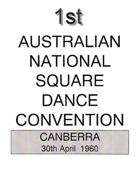

# AUSTRALIAN NATIONAL SQUARE DANCE CONVENTION CANBERRA **30th April 1960**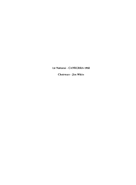lSI National· CANBERRA t960

Chairman· Jim White